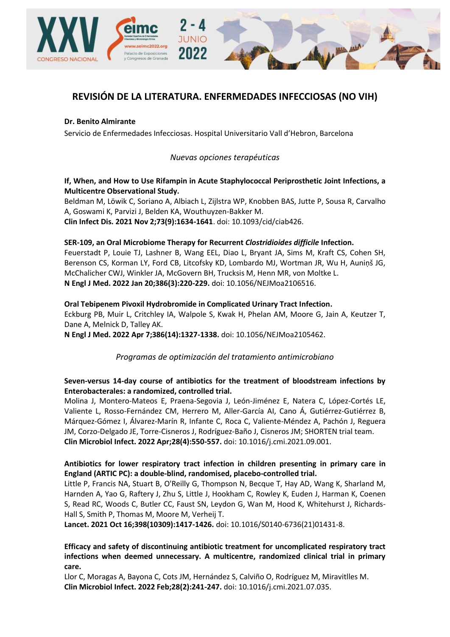

# **REVISIÓN DE LA LITERATURA. ENFERMEDADES INFECCIOSAS (NO VIH)**

#### **Dr. Benito Almirante**

Servicio de Enfermedades Infecciosas. Hospital Universitario Vall d'Hebron, Barcelona

# *Nuevas opciones terapéuticas*

# **[If, When, and How to Use Rifampin in Acute Staphylococcal Periprosthetic Joint Infections, a](https://pubmed.ncbi.nlm.nih.gov/33970214/)  [Multicentre Observational Study.](https://pubmed.ncbi.nlm.nih.gov/33970214/)**

Beldman M, Löwik C, Soriano A, Albiach L, Zijlstra WP, Knobben BAS, Jutte P, Sousa R, Carvalho A, Goswami K, Parvizi J, Belden KA, Wouthuyzen-Bakker M.

**Clin Infect Dis. 2021 Nov 2;73(9):1634-1641**. doi: 10.1093/cid/ciab426.

# **[SER-109, an Oral Microbiome Therapy](https://pubmed.ncbi.nlm.nih.gov/35045228/) for Recurrent** *Clostridioides difficile* **Infection.**

Feuerstadt P, Louie TJ, Lashner B, Wang EEL, Diao L, Bryant JA, Sims M, Kraft CS, Cohen SH, Berenson CS, Korman LY, Ford CB, Litcofsky KD, Lombardo MJ, Wortman JR, Wu H, Auniņš JG, McChalicher CWJ, Winkler JA, McGovern BH, Trucksis M, Henn MR, von Moltke L. **N Engl J Med. 2022 Jan 20;386(3):220-229.** doi: 10.1056/NEJMoa2106516.

#### **[Oral Tebipenem Pivoxil Hydrobromide in Complicated Urinary Tract Infection.](https://pubmed.ncbi.nlm.nih.gov/35388666/)**

Eckburg PB, Muir L, Critchley IA, Walpole S, Kwak H, Phelan AM, Moore G, Jain A, Keutzer T, Dane A, Melnick D, Talley AK.

**N Engl J Med. 2022 Apr 7;386(14):1327-1338.** doi: 10.1056/NEJMoa2105462.

*Programas de optimización del tratamiento antimicrobiano*

# **[Seven-versus 14-day course of antibiotics for the treatment of bloodstream infections by](https://pubmed.ncbi.nlm.nih.gov/34508886/)  [Enterobacterales: a randomized, controlled trial.](https://pubmed.ncbi.nlm.nih.gov/34508886/)**

Molina J, Montero-Mateos E, Praena-Segovia J, León-Jiménez E, Natera C, López-Cortés LE, Valiente L, Rosso-Fernández CM, Herrero M, Aller-García AI, Cano Á, Gutiérrez-Gutiérrez B, Márquez-Gómez I, Álvarez-Marín R, Infante C, Roca C, Valiente-Méndez A, Pachón J, Reguera JM, Corzo-Delgado JE, Torre-Cisneros J, Rodríguez-Baño J, Cisneros JM; SHORTEN trial team. **Clin Microbiol Infect. 2022 Apr;28(4):550-557.** doi: 10.1016/j.cmi.2021.09.001.

# **[Antibiotics for lower respiratory tract infection in children presenting in primary care in](https://pubmed.ncbi.nlm.nih.gov/34562391/)  [England \(ARTIC PC\): a double-blind, randomised, placebo-controlled trial.](https://pubmed.ncbi.nlm.nih.gov/34562391/)**

Little P, Francis NA, Stuart B, O'Reilly G, Thompson N, Becque T, Hay AD, Wang K, Sharland M, Harnden A, Yao G, Raftery J, Zhu S, Little J, Hookham C, Rowley K, Euden J, Harman K, Coenen S, Read RC, Woods C, Butler CC, Faust SN, Leydon G, Wan M, Hood K, Whitehurst J, Richards-Hall S, Smith P, Thomas M, Moore M, Verheij T.

**Lancet. 2021 Oct 16;398(10309):1417-1426.** doi: 10.1016/S0140-6736(21)01431-8.

**[Efficacy and safety of discontinuing antibiotic treatment for uncomplicated respiratory tract](https://pubmed.ncbi.nlm.nih.gov/34363942/)  [infections when deemed unnecessary. A multicentre, randomized clinical trial in primary](https://pubmed.ncbi.nlm.nih.gov/34363942/)  [care.](https://pubmed.ncbi.nlm.nih.gov/34363942/)**

Llor C, Moragas A, Bayona C, Cots JM, Hernández S, Calviño O, Rodríguez M, Miravitlles M. **Clin Microbiol Infect. 2022 Feb;28(2):241-247.** doi: 10.1016/j.cmi.2021.07.035.